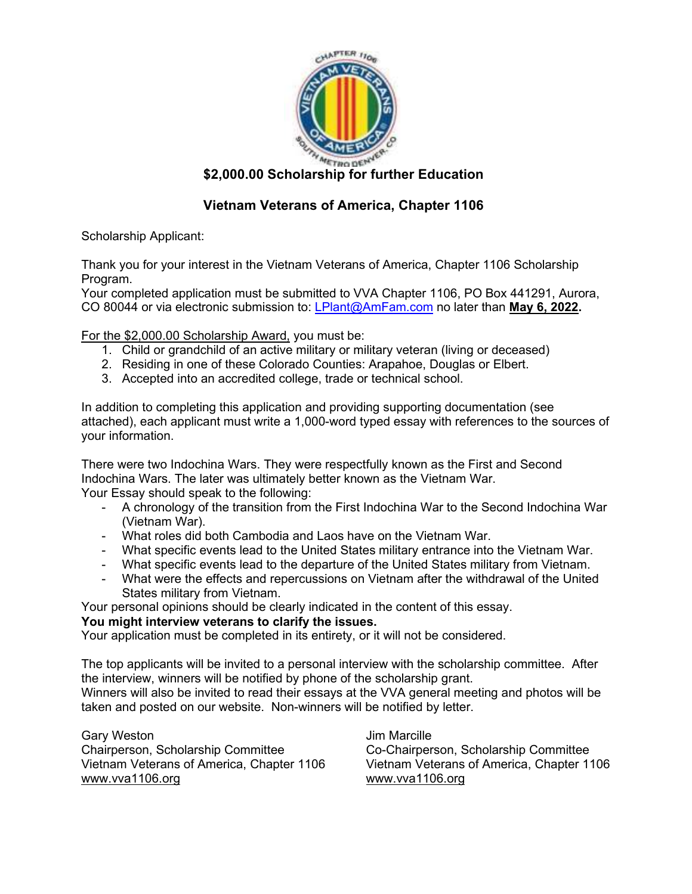

# **\$2,000.00 Scholarship for further Education**

## **Vietnam Veterans of America, Chapter 1106**

Scholarship Applicant:

Thank you for your interest in the Vietnam Veterans of America, Chapter 1106 Scholarship Program.

Your completed application must be submitted to VVA Chapter 1106, PO Box 441291, Aurora, CO 80044 or via electronic submission to: LPlant@AmFam.com no later than **May 6, 2022.** 

For the \$2,000.00 Scholarship Award, you must be:

- 1. Child or grandchild of an active military or military veteran (living or deceased)
- 2. Residing in one of these Colorado Counties: Arapahoe, Douglas or Elbert.
- 3. Accepted into an accredited college, trade or technical school.

In addition to completing this application and providing supporting documentation (see attached), each applicant must write a 1,000-word typed essay with references to the sources of your information.

There were two Indochina Wars. They were respectfully known as the First and Second Indochina Wars. The later was ultimately better known as the Vietnam War. Your Essay should speak to the following:

- A chronology of the transition from the First Indochina War to the Second Indochina War (Vietnam War).
- What roles did both Cambodia and Laos have on the Vietnam War.
- What specific events lead to the United States military entrance into the Vietnam War.
- What specific events lead to the departure of the United States military from Vietnam.
- What were the effects and repercussions on Vietnam after the withdrawal of the United States military from Vietnam.

Your personal opinions should be clearly indicated in the content of this essay.

#### **You might interview veterans to clarify the issues.**

Your application must be completed in its entirety, or it will not be considered.

The top applicants will be invited to a personal interview with the scholarship committee. After the interview, winners will be notified by phone of the scholarship grant.

Winners will also be invited to read their essays at the VVA general meeting and photos will be taken and posted on our website. Non-winners will be notified by letter.

Gary Weston **Gary Weston Jim Marcille** Chairperson, Scholarship Committee Co-Chairperson, Scholarship Committee Vietnam Veterans of America, Chapter 11 www.vva1106.org www.vva1106.org

Vietnam Veterans of America, Chapter 1106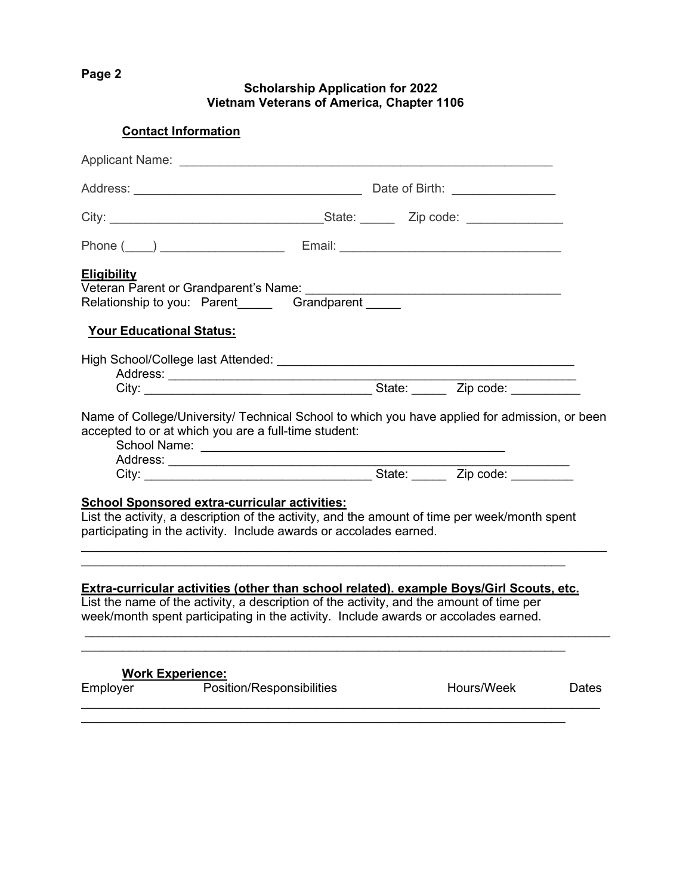**Page 2** 

**Scholarship Application for 2022 Vietnam Veterans of America, Chapter 1106** 

**Contact Information** 

| <b>Eligibility</b>              | Veteran Parent or Grandparent's Name:<br>Relationship to you: Parent Grandparent                                                                                                                                                                                           |  | <u> 1989 - Johann Stoff, deutscher Stoffen und der Stoffen und der Stoffen und der Stoffen und der Stoffen und der</u> |       |
|---------------------------------|----------------------------------------------------------------------------------------------------------------------------------------------------------------------------------------------------------------------------------------------------------------------------|--|------------------------------------------------------------------------------------------------------------------------|-------|
| <b>Your Educational Status:</b> |                                                                                                                                                                                                                                                                            |  |                                                                                                                        |       |
|                                 |                                                                                                                                                                                                                                                                            |  |                                                                                                                        |       |
|                                 | Name of College/University/ Technical School to which you have applied for admission, or been<br>accepted to or at which you are a full-time student:                                                                                                                      |  |                                                                                                                        |       |
|                                 | City: City: City: City: City: City: City: City: City: City: City: City: City: City: City: City: City: City: City: City: City: City: City: City: City: City: City: City: City: City: City: City: City: City: City: City: City:                                              |  |                                                                                                                        |       |
|                                 | <b>School Sponsored extra-curricular activities:</b><br>List the activity, a description of the activity, and the amount of time per week/month spent<br>participating in the activity. Include awards or accolades earned.                                                |  |                                                                                                                        |       |
|                                 | Extra-curricular activities (other than school related). example Boys/Girl Scouts, etc.<br>List the name of the activity, a description of the activity, and the amount of time per<br>week/month spent participating in the activity. Include awards or accolades earned. |  |                                                                                                                        |       |
|                                 | <b>Work Experience:</b>                                                                                                                                                                                                                                                    |  |                                                                                                                        |       |
| Employer                        | <b>Position/Responsibilities</b>                                                                                                                                                                                                                                           |  | Hours/Week                                                                                                             | Dates |
|                                 |                                                                                                                                                                                                                                                                            |  |                                                                                                                        |       |